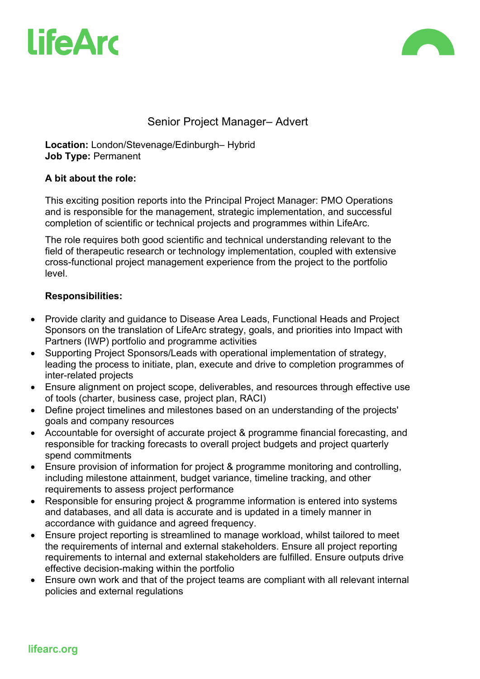



## Senior Project Manager– Advert

**Location:** London/Stevenage/Edinburgh– Hybrid **Job Type:** Permanent

#### **A bit about the role:**

This exciting position reports into the Principal Project Manager: PMO Operations and is responsible for the management, strategic implementation, and successful completion of scientific or technical projects and programmes within LifeArc.

The role requires both good scientific and technical understanding relevant to the field of therapeutic research or technology implementation, coupled with extensive cross-functional project management experience from the project to the portfolio level.

### **Responsibilities:**

- Provide clarity and guidance to Disease Area Leads, Functional Heads and Project Sponsors on the translation of LifeArc strategy, goals, and priorities into Impact with Partners (IWP) portfolio and programme activities
- Supporting Project Sponsors/Leads with operational implementation of strategy, leading the process to initiate, plan, execute and drive to completion programmes of inter-related projects
- Ensure alignment on project scope, deliverables, and resources through effective use of tools (charter, business case, project plan, RACI)
- Define project timelines and milestones based on an understanding of the projects' goals and company resources
- Accountable for oversight of accurate project & programme financial forecasting, and responsible for tracking forecasts to overall project budgets and project quarterly spend commitments
- Ensure provision of information for project & programme monitoring and controlling, including milestone attainment, budget variance, timeline tracking, and other requirements to assess project performance
- Responsible for ensuring project & programme information is entered into systems and databases, and all data is accurate and is updated in a timely manner in accordance with guidance and agreed frequency.
- Ensure project reporting is streamlined to manage workload, whilst tailored to meet the requirements of internal and external stakeholders. Ensure all project reporting requirements to internal and external stakeholders are fulfilled. Ensure outputs drive effective decision-making within the portfolio
- Ensure own work and that of the project teams are compliant with all relevant internal policies and external regulations

lifearc.org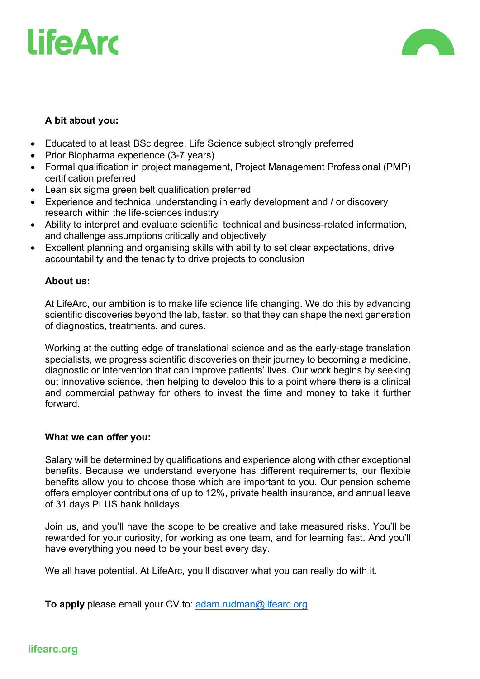# **LifeArd**



### **A bit about you:**

- Educated to at least BSc degree, Life Science subject strongly preferred
- Prior Biopharma experience (3-7 years)
- Formal qualification in project management, Project Management Professional (PMP) certification preferred
- Lean six sigma green belt qualification preferred
- Experience and technical understanding in early development and / or discovery research within the life-sciences industry
- Ability to interpret and evaluate scientific, technical and business-related information, and challenge assumptions critically and objectively
- Excellent planning and organising skills with ability to set clear expectations, drive accountability and the tenacity to drive projects to conclusion

### **About us:**

At LifeArc, our ambition is to make life science life changing. We do this by advancing scientific discoveries beyond the lab, faster, so that they can shape the next generation of diagnostics, treatments, and cures.

Working at the cutting edge of translational science and as the early-stage translation specialists, we progress scientific discoveries on their journey to becoming a medicine, diagnostic or intervention that can improve patients' lives. Our work begins by seeking out innovative science, then helping to develop this to a point where there is a clinical and commercial pathway for others to invest the time and money to take it further forward.

### **What we can offer you:**

Salary will be determined by qualifications and experience along with other exceptional benefits. Because we understand everyone has different requirements, our flexible benefits allow you to choose those which are important to you. Our pension scheme offers employer contributions of up to 12%, private health insurance, and annual leave of 31 days PLUS bank holidays.

Join us, and you'll have the scope to be creative and take measured risks. You'll be rewarded for your curiosity, for working as one team, and for learning fast. And you'll have everything you need to be your best every day.

We all have potential. At LifeArc, you'll discover what you can really do with it.

**To apply** please email your CV to: adam.rudman@lifearc.org